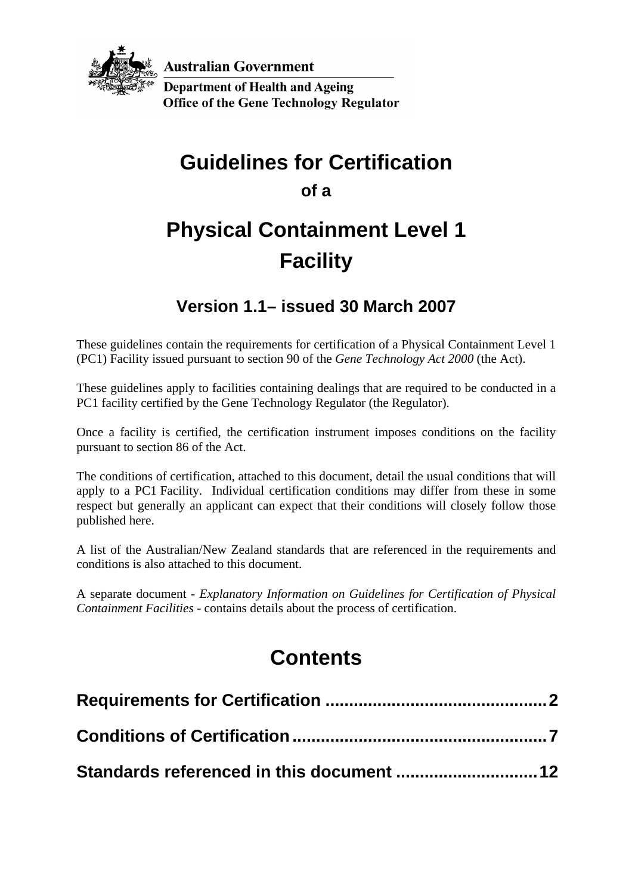

**Australian Government Department of Health and Ageing** 

**Office of the Gene Technology Regulator** 

# **Guidelines for Certification**

**of a** 

# **Physical Containment Level 1 Facility**

## **Version 1.1– issued 30 March 2007**

These guidelines contain the requirements for certification of a Physical Containment Level 1 (PC1) Facility issued pursuant to section 90 of the *Gene Technology Act 2000* (the Act).

These guidelines apply to facilities containing dealings that are required to be conducted in a PC1 facility certified by the Gene Technology Regulator (the Regulator).

Once a facility is certified, the certification instrument imposes conditions on the facility pursuant to section 86 of the Act.

The conditions of certification, attached to this document, detail the usual conditions that will apply to a PC1 Facility. Individual certification conditions may differ from these in some respect but generally an applicant can expect that their conditions will closely follow those published here.

A list of the Australian/New Zealand standards that are referenced in the requirements and conditions is also attached to this document.

A separate document - *Explanatory Information on Guidelines for Certification of Physical Containment Facilities* - contains details about the process of certification.

# **Contents**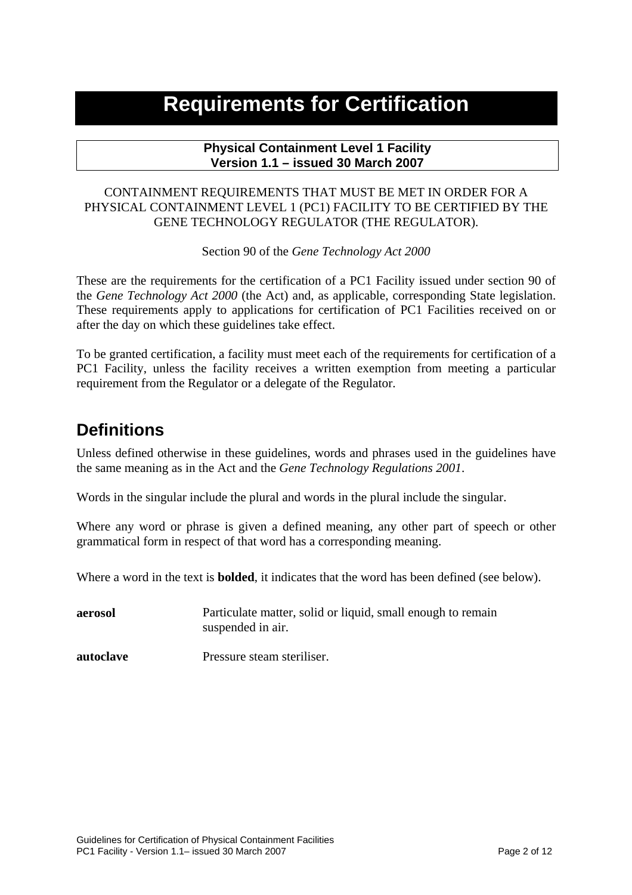## <span id="page-1-0"></span>**Requirements for Certification**

#### **Physical Containment Level 1 Facility Version 1.1 – issued 30 March 2007**

#### CONTAINMENT REQUIREMENTS THAT MUST BE MET IN ORDER FOR A PHYSICAL CONTAINMENT LEVEL 1 (PC1) FACILITY TO BE CERTIFIED BY THE GENE TECHNOLOGY REGULATOR (THE REGULATOR).

Section 90 of the *Gene Technology Act 2000*

These are the requirements for the certification of a PC1 Facility issued under section 90 of the *Gene Technology Act 2000* (the Act) and, as applicable, corresponding State legislation. These requirements apply to applications for certification of PC1 Facilities received on or after the day on which these guidelines take effect.

To be granted certification, a facility must meet each of the requirements for certification of a PC1 Facility, unless the facility receives a written exemption from meeting a particular requirement from the Regulator or a delegate of the Regulator.

## **Definitions**

Unless defined otherwise in these guidelines, words and phrases used in the guidelines have the same meaning as in the Act and the *Gene Technology Regulations 2001*.

Words in the singular include the plural and words in the plural include the singular.

Where any word or phrase is given a defined meaning, any other part of speech or other grammatical form in respect of that word has a corresponding meaning.

Where a word in the text is **bolded**, it indicates that the word has been defined (see below).

**aerosol Particulate matter, solid or liquid, small enough to remain** suspended in air.

**autoclave** Pressure steam steriliser.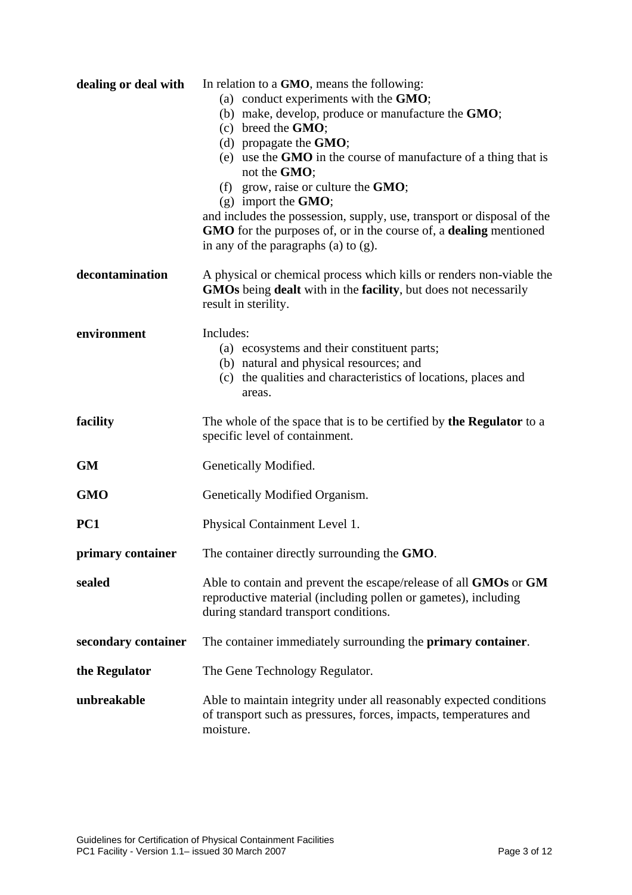| dealing or deal with | In relation to a GMO, means the following:<br>(a) conduct experiments with the GMO;<br>(b) make, develop, produce or manufacture the GMO;<br>$(c)$ breed the <b>GMO</b> ;<br>(d) propagate the $GMO$ ;<br>(e) use the GMO in the course of manufacture of a thing that is<br>not the GMO;<br>(f) grow, raise or culture the $GMO$ ;<br>$(g)$ import the <b>GMO</b> ;<br>and includes the possession, supply, use, transport or disposal of the<br>GMO for the purposes of, or in the course of, a dealing mentioned<br>in any of the paragraphs $(a)$ to $(g)$ . |
|----------------------|------------------------------------------------------------------------------------------------------------------------------------------------------------------------------------------------------------------------------------------------------------------------------------------------------------------------------------------------------------------------------------------------------------------------------------------------------------------------------------------------------------------------------------------------------------------|
| decontamination      | A physical or chemical process which kills or renders non-viable the<br><b>GMOs</b> being <b>dealt</b> with in the <b>facility</b> , but does not necessarily<br>result in sterility.                                                                                                                                                                                                                                                                                                                                                                            |
| environment          | Includes:<br>(a) ecosystems and their constituent parts;<br>(b) natural and physical resources; and<br>(c) the qualities and characteristics of locations, places and<br>areas.                                                                                                                                                                                                                                                                                                                                                                                  |
| facility             | The whole of the space that is to be certified by the Regulator to a<br>specific level of containment.                                                                                                                                                                                                                                                                                                                                                                                                                                                           |
| <b>GM</b>            | Genetically Modified.                                                                                                                                                                                                                                                                                                                                                                                                                                                                                                                                            |
| <b>GMO</b>           | Genetically Modified Organism.                                                                                                                                                                                                                                                                                                                                                                                                                                                                                                                                   |
| PC1                  | Physical Containment Level 1.                                                                                                                                                                                                                                                                                                                                                                                                                                                                                                                                    |
| primary container    | The container directly surrounding the GMO.                                                                                                                                                                                                                                                                                                                                                                                                                                                                                                                      |
| sealed               | Able to contain and prevent the escape/release of all GMOs or GM<br>reproductive material (including pollen or gametes), including<br>during standard transport conditions.                                                                                                                                                                                                                                                                                                                                                                                      |
| secondary container  | The container immediately surrounding the primary container.                                                                                                                                                                                                                                                                                                                                                                                                                                                                                                     |
| the Regulator        | The Gene Technology Regulator.                                                                                                                                                                                                                                                                                                                                                                                                                                                                                                                                   |
| unbreakable          | Able to maintain integrity under all reasonably expected conditions<br>of transport such as pressures, forces, impacts, temperatures and<br>moisture.                                                                                                                                                                                                                                                                                                                                                                                                            |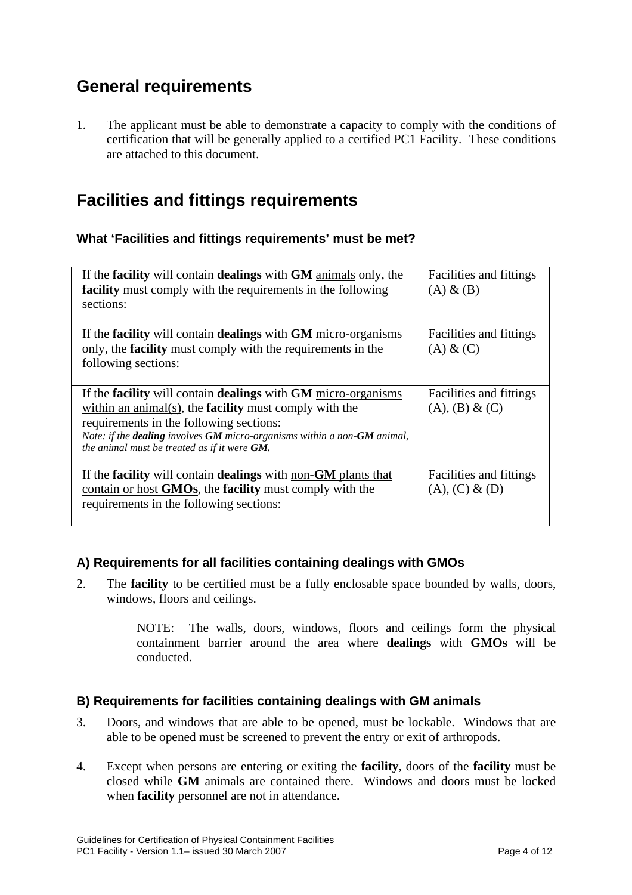## **General requirements**

1. The applicant must be able to demonstrate a capacity to comply with the conditions of certification that will be generally applied to a certified PC1 Facility. These conditions are attached to this document.

## **Facilities and fittings requirements**

#### **What 'Facilities and fittings requirements' must be met?**

| If the <b>facility</b> will contain <b>dealings</b> with <b>GM</b> animals only, the<br><b>facility</b> must comply with the requirements in the following<br>sections:                                                                                                                                                                          | Facilities and fittings<br>$(A) \& (B)$      |
|--------------------------------------------------------------------------------------------------------------------------------------------------------------------------------------------------------------------------------------------------------------------------------------------------------------------------------------------------|----------------------------------------------|
| If the facility will contain dealings with GM micro-organisms<br>only, the <b>facility</b> must comply with the requirements in the<br>following sections:                                                                                                                                                                                       | Facilities and fittings<br>$(A)$ & $(C)$     |
| If the <b>facility</b> will contain <b>dealings</b> with <b>GM</b> micro-organisms<br>within an animal(s), the <b>facility</b> must comply with the<br>requirements in the following sections:<br>Note: if the <b>dealing</b> involves <b>GM</b> micro-organisms within a non- <b>GM</b> animal,<br>the animal must be treated as if it were GM. | Facilities and fittings<br>(A), (B) & (C)    |
| If the <b>facility</b> will contain <b>dealings</b> with non- <b>GM</b> plants that<br>contain or host <b>GMOs</b> , the <b>facility</b> must comply with the<br>requirements in the following sections:                                                                                                                                         | Facilities and fittings<br>$(A), (C) \& (D)$ |

#### **A) Requirements for all facilities containing dealings with GMOs**

2. The **facility** to be certified must be a fully enclosable space bounded by walls, doors, windows, floors and ceilings.

> NOTE: The walls, doors, windows, floors and ceilings form the physical containment barrier around the area where **dealings** with **GMOs** will be conducted.

#### **B) Requirements for facilities containing dealings with GM animals**

- 3. Doors, and windows that are able to be opened, must be lockable. Windows that are able to be opened must be screened to prevent the entry or exit of arthropods.
- 4. Except when persons are entering or exiting the **facility**, doors of the **facility** must be closed while **GM** animals are contained there. Windows and doors must be locked when **facility** personnel are not in attendance.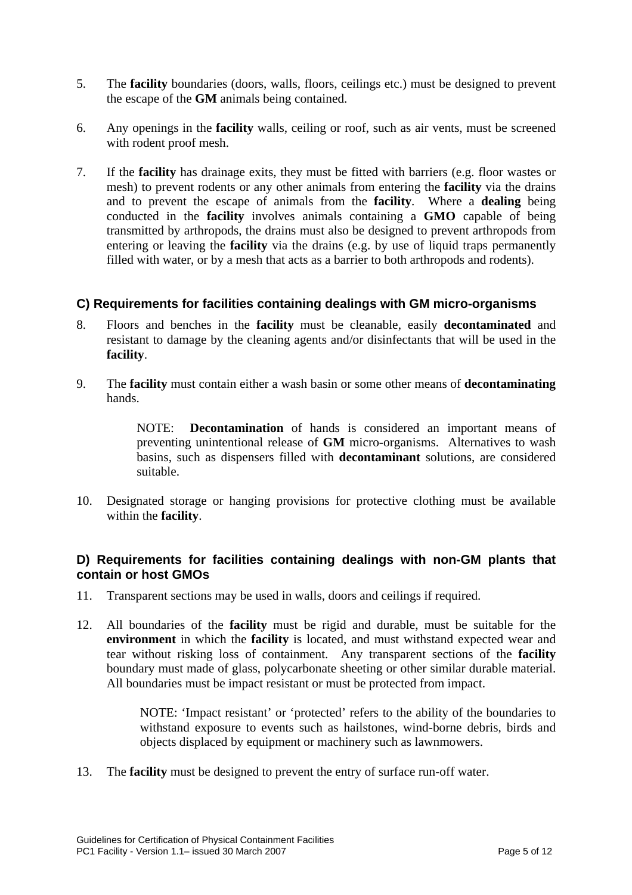- 5. The **facility** boundaries (doors, walls, floors, ceilings etc.) must be designed to prevent the escape of the **GM** animals being contained.
- 6. Any openings in the **facility** walls, ceiling or roof, such as air vents, must be screened with rodent proof mesh.
- 7. If the **facility** has drainage exits, they must be fitted with barriers (e.g. floor wastes or mesh) to prevent rodents or any other animals from entering the **facility** via the drains and to prevent the escape of animals from the **facility**. Where a **dealing** being conducted in the **facility** involves animals containing a **GMO** capable of being transmitted by arthropods, the drains must also be designed to prevent arthropods from entering or leaving the **facility** via the drains (e.g. by use of liquid traps permanently filled with water, or by a mesh that acts as a barrier to both arthropods and rodents).

#### **C) Requirements for facilities containing dealings with GM micro-organisms**

- 8. Floors and benches in the **facility** must be cleanable, easily **decontaminated** and resistant to damage by the cleaning agents and/or disinfectants that will be used in the **facility**.
- 9. The **facility** must contain either a wash basin or some other means of **decontaminating** hands.

NOTE: **Decontamination** of hands is considered an important means of preventing unintentional release of **GM** micro-organisms. Alternatives to wash basins, such as dispensers filled with **decontaminant** solutions, are considered suitable.

10. Designated storage or hanging provisions for protective clothing must be available within the **facility**.

#### **D) Requirements for facilities containing dealings with non-GM plants that contain or host GMOs**

- 11. Transparent sections may be used in walls, doors and ceilings if required.
- 12. All boundaries of the **facility** must be rigid and durable, must be suitable for the **environment** in which the **facility** is located, and must withstand expected wear and tear without risking loss of containment. Any transparent sections of the **facility** boundary must made of glass, polycarbonate sheeting or other similar durable material. All boundaries must be impact resistant or must be protected from impact.

NOTE: 'Impact resistant' or 'protected' refers to the ability of the boundaries to withstand exposure to events such as hailstones, wind-borne debris, birds and objects displaced by equipment or machinery such as lawnmowers.

13. The **facility** must be designed to prevent the entry of surface run-off water.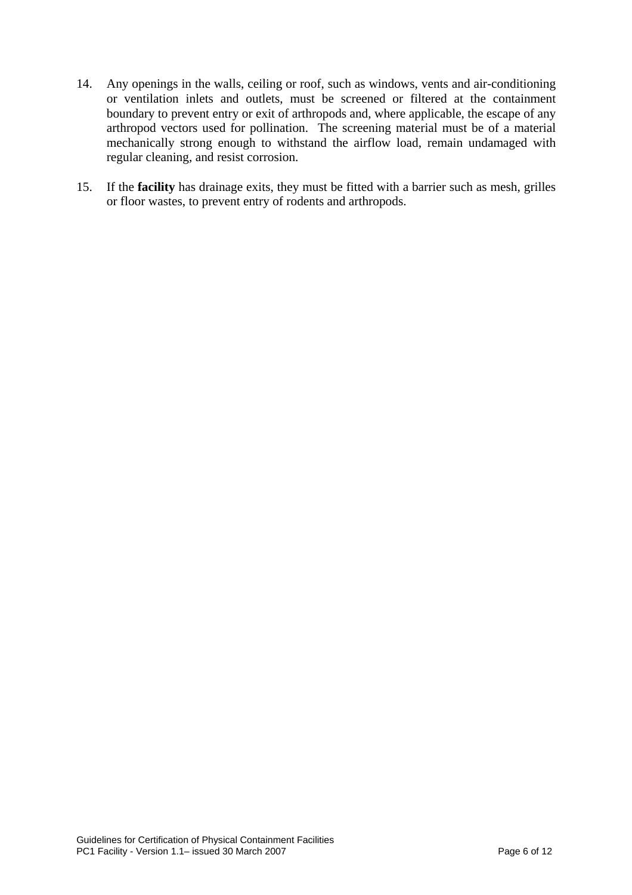- 14. Any openings in the walls, ceiling or roof, such as windows, vents and air-conditioning or ventilation inlets and outlets, must be screened or filtered at the containment boundary to prevent entry or exit of arthropods and, where applicable, the escape of any arthropod vectors used for pollination. The screening material must be of a material mechanically strong enough to withstand the airflow load, remain undamaged with regular cleaning, and resist corrosion.
- 15. If the **facility** has drainage exits, they must be fitted with a barrier such as mesh, grilles or floor wastes, to prevent entry of rodents and arthropods.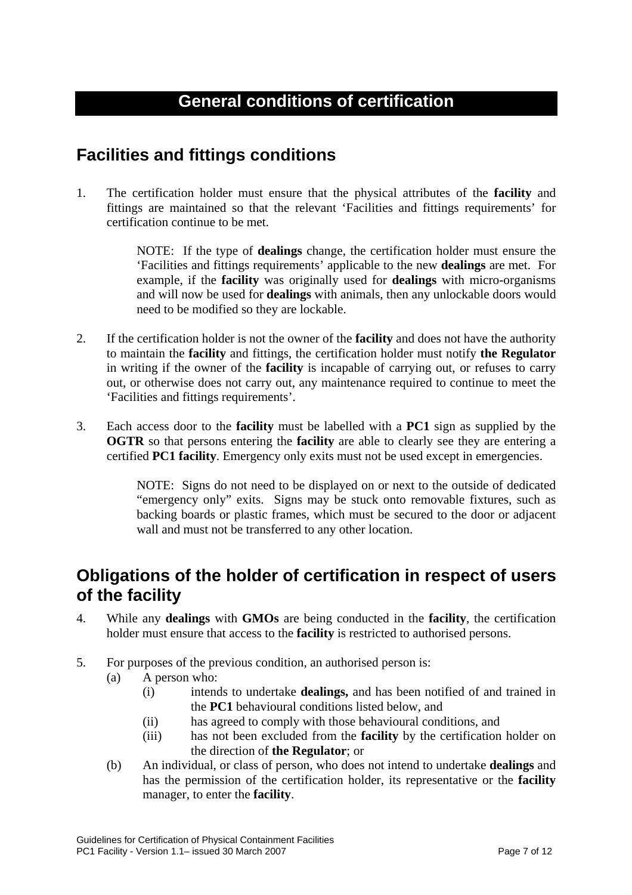## <span id="page-6-0"></span>**General conditions of certification**

## **Facilities and fittings conditions**

1. The certification holder must ensure that the physical attributes of the **facility** and fittings are maintained so that the relevant 'Facilities and fittings requirements' for certification continue to be met.

> NOTE: If the type of **dealings** change, the certification holder must ensure the 'Facilities and fittings requirements' applicable to the new **dealings** are met. For example, if the **facility** was originally used for **dealings** with micro-organisms and will now be used for **dealings** with animals, then any unlockable doors would need to be modified so they are lockable.

- 2. If the certification holder is not the owner of the **facility** and does not have the authority to maintain the **facility** and fittings, the certification holder must notify **the Regulator** in writing if the owner of the **facility** is incapable of carrying out, or refuses to carry out, or otherwise does not carry out, any maintenance required to continue to meet the 'Facilities and fittings requirements'.
- 3. Each access door to the **facility** must be labelled with a **PC1** sign as supplied by the **OGTR** so that persons entering the **facility** are able to clearly see they are entering a certified **PC1 facility**. Emergency only exits must not be used except in emergencies.

NOTE: Signs do not need to be displayed on or next to the outside of dedicated "emergency only" exits. Signs may be stuck onto removable fixtures, such as backing boards or plastic frames, which must be secured to the door or adjacent wall and must not be transferred to any other location.

### **Obligations of the holder of certification in respect of users of the facility**

- 4. While any **dealings** with **GMOs** are being conducted in the **facility**, the certification holder must ensure that access to the **facility** is restricted to authorised persons.
- 5. For purposes of the previous condition, an authorised person is:
	- (a) A person who:
		- (i) intends to undertake **dealings,** and has been notified of and trained in the **PC1** behavioural conditions listed below, and
		- (ii) has agreed to comply with those behavioural conditions, and
		- (iii) has not been excluded from the **facility** by the certification holder on the direction of **the Regulator**; or
	- (b) An individual, or class of person, who does not intend to undertake **dealings** and has the permission of the certification holder, its representative or the **facility** manager, to enter the **facility**.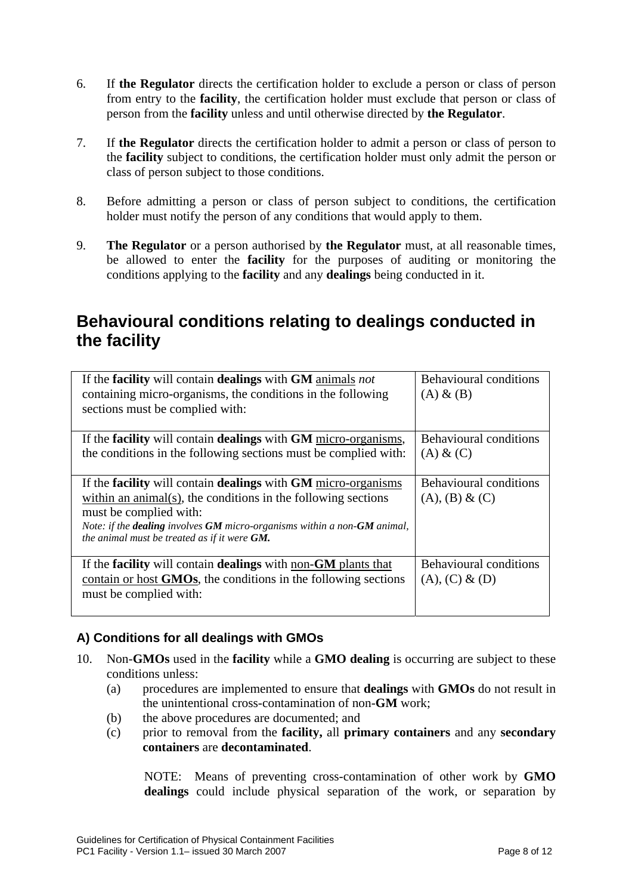- 6. If **the Regulator** directs the certification holder to exclude a person or class of person from entry to the **facility**, the certification holder must exclude that person or class of person from the **facility** unless and until otherwise directed by **the Regulator**.
- 7. If **the Regulator** directs the certification holder to admit a person or class of person to the **facility** subject to conditions, the certification holder must only admit the person or class of person subject to those conditions.
- 8. Before admitting a person or class of person subject to conditions, the certification holder must notify the person of any conditions that would apply to them.
- 9. **The Regulator** or a person authorised by **the Regulator** must, at all reasonable times, be allowed to enter the **facility** for the purposes of auditing or monitoring the conditions applying to the **facility** and any **dealings** being conducted in it.

## **Behavioural conditions relating to dealings conducted in the facility**

| If the facility will contain dealings with GM animals not<br>containing micro-organisms, the conditions in the following<br>sections must be complied with:                                                                                                                                                                         | <b>Behavioural conditions</b><br>$(A) \& (B)$      |
|-------------------------------------------------------------------------------------------------------------------------------------------------------------------------------------------------------------------------------------------------------------------------------------------------------------------------------------|----------------------------------------------------|
| If the <b>facility</b> will contain <b>dealings</b> with <b>GM</b> micro-organisms,<br>the conditions in the following sections must be complied with:                                                                                                                                                                              | <b>Behavioural conditions</b><br>$(A)$ & $(C)$     |
| If the <b>facility</b> will contain <b>dealings</b> with <b>GM</b> micro-organisms<br>within an animal( $s$ ), the conditions in the following sections<br>must be complied with:<br>Note: if the <b>dealing</b> involves <b>GM</b> micro-organisms within a non- <b>GM</b> animal,<br>the animal must be treated as if it were GM. | <b>Behavioural conditions</b><br>(A), (B) & (C)    |
| If the <b>facility</b> will contain <b>dealings</b> with <u>non-GM</u> plants that<br>contain or host GMOs, the conditions in the following sections<br>must be complied with:                                                                                                                                                      | <b>Behavioural conditions</b><br>$(A), (C) \& (D)$ |

#### **A) Conditions for all dealings with GMOs**

- 10. Non-**GMOs** used in the **facility** while a **GMO dealing** is occurring are subject to these conditions unless:
	- (a) procedures are implemented to ensure that **dealings** with **GMOs** do not result in the unintentional cross-contamination of non-**GM** work;
	- (b) the above procedures are documented; and
	- (c) prior to removal from the **facility,** all **primary containers** and any **secondary containers** are **decontaminated**.

NOTE: Means of preventing cross-contamination of other work by **GMO dealings** could include physical separation of the work, or separation by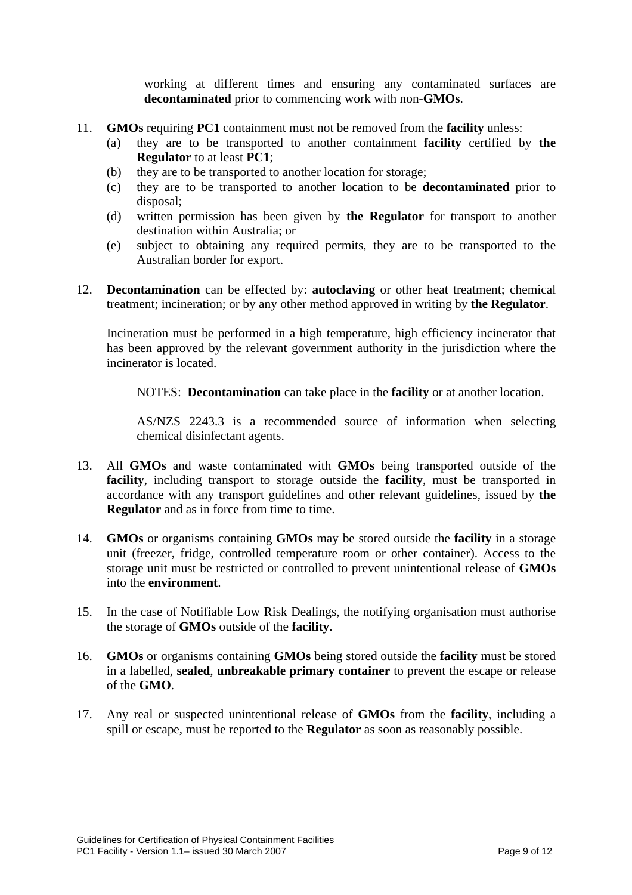working at different times and ensuring any contaminated surfaces are **decontaminated** prior to commencing work with non-**GMOs**.

- 11. **GMOs** requiring **PC1** containment must not be removed from the **facility** unless:
	- (a) they are to be transported to another containment **facility** certified by **the Regulator** to at least **PC1**;
	- (b) they are to be transported to another location for storage;
	- (c) they are to be transported to another location to be **decontaminated** prior to disposal;
	- (d) written permission has been given by **the Regulator** for transport to another destination within Australia; or
	- (e) subject to obtaining any required permits, they are to be transported to the Australian border for export.
- 12. **Decontamination** can be effected by: **autoclaving** or other heat treatment; chemical treatment; incineration; or by any other method approved in writing by **the Regulator**.

Incineration must be performed in a high temperature, high efficiency incinerator that has been approved by the relevant government authority in the jurisdiction where the incinerator is located.

NOTES: **Decontamination** can take place in the **facility** or at another location.

AS/NZS 2243.3 is a recommended source of information when selecting chemical disinfectant agents.

- 13. All **GMOs** and waste contaminated with **GMOs** being transported outside of the **facility**, including transport to storage outside the **facility**, must be transported in accordance with any transport guidelines and other relevant guidelines, issued by **the Regulator** and as in force from time to time.
- 14. **GMOs** or organisms containing **GMOs** may be stored outside the **facility** in a storage unit (freezer, fridge, controlled temperature room or other container). Access to the storage unit must be restricted or controlled to prevent unintentional release of **GMOs** into the **environment**.
- 15. In the case of Notifiable Low Risk Dealings, the notifying organisation must authorise the storage of **GMOs** outside of the **facility**.
- 16. **GMOs** or organisms containing **GMOs** being stored outside the **facility** must be stored in a labelled, **sealed**, **unbreakable primary container** to prevent the escape or release of the **GMO**.
- 17. Any real or suspected unintentional release of **GMOs** from the **facility**, including a spill or escape, must be reported to the **Regulator** as soon as reasonably possible.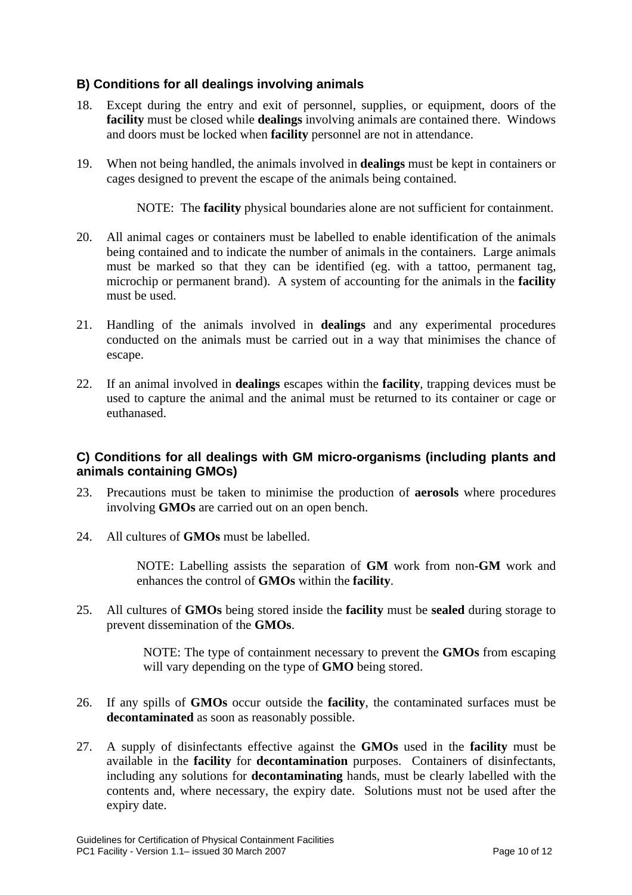#### **B) Conditions for all dealings involving animals**

- 18. Except during the entry and exit of personnel, supplies, or equipment, doors of the **facility** must be closed while **dealings** involving animals are contained there. Windows and doors must be locked when **facility** personnel are not in attendance.
- 19. When not being handled, the animals involved in **dealings** must be kept in containers or cages designed to prevent the escape of the animals being contained.

NOTE: The **facility** physical boundaries alone are not sufficient for containment.

- 20. All animal cages or containers must be labelled to enable identification of the animals being contained and to indicate the number of animals in the containers. Large animals must be marked so that they can be identified (eg. with a tattoo, permanent tag, microchip or permanent brand). A system of accounting for the animals in the **facility** must be used.
- 21. Handling of the animals involved in **dealings** and any experimental procedures conducted on the animals must be carried out in a way that minimises the chance of escape.
- 22. If an animal involved in **dealings** escapes within the **facility**, trapping devices must be used to capture the animal and the animal must be returned to its container or cage or euthanased.

#### **C) Conditions for all dealings with GM micro-organisms (including plants and animals containing GMOs)**

- 23. Precautions must be taken to minimise the production of **aerosols** where procedures involving **GMOs** are carried out on an open bench.
- 24. All cultures of **GMOs** must be labelled.

NOTE: Labelling assists the separation of **GM** work from non-**GM** work and enhances the control of **GMOs** within the **facility**.

25. All cultures of **GMOs** being stored inside the **facility** must be **sealed** during storage to prevent dissemination of the **GMOs**.

> NOTE: The type of containment necessary to prevent the **GMOs** from escaping will vary depending on the type of **GMO** being stored.

- 26. If any spills of **GMOs** occur outside the **facility**, the contaminated surfaces must be **decontaminated** as soon as reasonably possible.
- 27. A supply of disinfectants effective against the **GMOs** used in the **facility** must be available in the **facility** for **decontamination** purposes. Containers of disinfectants, including any solutions for **decontaminating** hands, must be clearly labelled with the contents and, where necessary, the expiry date. Solutions must not be used after the expiry date.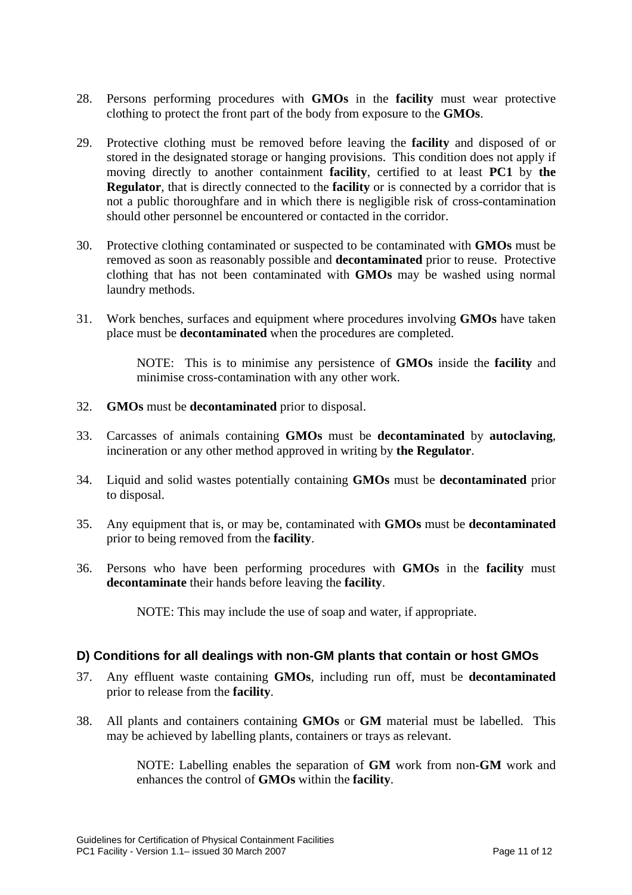- 28. Persons performing procedures with **GMOs** in the **facility** must wear protective clothing to protect the front part of the body from exposure to the **GMOs**.
- 29. Protective clothing must be removed before leaving the **facility** and disposed of or stored in the designated storage or hanging provisions. This condition does not apply if moving directly to another containment **facility**, certified to at least **PC1** by **the Regulator**, that is directly connected to the **facility** or is connected by a corridor that is not a public thoroughfare and in which there is negligible risk of cross-contamination should other personnel be encountered or contacted in the corridor.
- 30. Protective clothing contaminated or suspected to be contaminated with **GMOs** must be removed as soon as reasonably possible and **decontaminated** prior to reuse. Protective clothing that has not been contaminated with **GMOs** may be washed using normal laundry methods.
- 31. Work benches, surfaces and equipment where procedures involving **GMOs** have taken place must be **decontaminated** when the procedures are completed.

NOTE: This is to minimise any persistence of **GMOs** inside the **facility** and minimise cross-contamination with any other work.

- 32. **GMOs** must be **decontaminated** prior to disposal.
- 33. Carcasses of animals containing **GMOs** must be **decontaminated** by **autoclaving**, incineration or any other method approved in writing by **the Regulator**.
- 34. Liquid and solid wastes potentially containing **GMOs** must be **decontaminated** prior to disposal.
- 35. Any equipment that is, or may be, contaminated with **GMOs** must be **decontaminated** prior to being removed from the **facility**.
- 36. Persons who have been performing procedures with **GMOs** in the **facility** must **decontaminate** their hands before leaving the **facility**.

NOTE: This may include the use of soap and water, if appropriate.

#### **D) Conditions for all dealings with non-GM plants that contain or host GMOs**

- 37. Any effluent waste containing **GMOs**, including run off, must be **decontaminated** prior to release from the **facility**.
- 38. All plants and containers containing **GMOs** or **GM** material must be labelled. This may be achieved by labelling plants, containers or trays as relevant.

NOTE: Labelling enables the separation of **GM** work from non-**GM** work and enhances the control of **GMOs** within the **facility**.